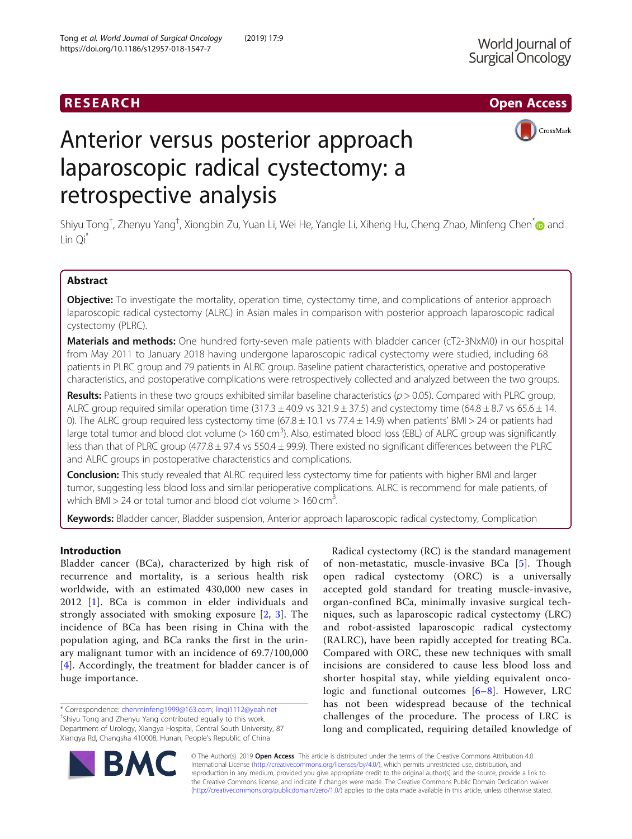# CrossMark

# Anterior versus posterior approach laparoscopic radical cystectomy: a retrospective analysis

Shiyu Tong<sup>†</sup>, Zhenyu Yang<sup>†</sup>, Xiongbin Zu, Yuan Li, Wei He, Yangle Li, Xiheng Hu, Cheng Zhao, Minfeng Chen<sup>\*</sup>⊙ and Lin Qi\*

# Abstract

**Objective:** To investigate the mortality, operation time, cystectomy time, and complications of anterior approach laparoscopic radical cystectomy (ALRC) in Asian males in comparison with posterior approach laparoscopic radical cystectomy (PLRC).

Materials and methods: One hundred forty-seven male patients with bladder cancer (cT2-3NxM0) in our hospital from May 2011 to January 2018 having undergone laparoscopic radical cystectomy were studied, including 68 patients in PLRC group and 79 patients in ALRC group. Baseline patient characteristics, operative and postoperative characteristics, and postoperative complications were retrospectively collected and analyzed between the two groups.

**Results:** Patients in these two groups exhibited similar baseline characteristics ( $p > 0.05$ ). Compared with PLRC group, ALRC group required similar operation time (317.3  $\pm$  40.9 vs 321.9  $\pm$  37.5) and cystectomy time (64.8  $\pm$  8.7 vs 65.6  $\pm$  14. 0). The ALRC group required less cystectomy time (67.8  $\pm$  10.1 vs 77.4  $\pm$  14.9) when patients' BMI > 24 or patients had large total tumor and blood clot volume (> 160 cm<sup>3</sup>). Also, estimated blood loss (EBL) of ALRC group was significantly less than that of PLRC group (477.8  $\pm$  97.4 vs 550.4  $\pm$  99.9). There existed no significant differences between the PLRC and ALRC groups in postoperative characteristics and complications.

**Conclusion:** This study revealed that ALRC required less cystectomy time for patients with higher BMI and larger tumor, suggesting less blood loss and similar perioperative complications. ALRC is recommend for male patients, of which BMI > 24 or total tumor and blood clot volume > 160 cm<sup>3</sup>. .

Keywords: Bladder cancer, Bladder suspension, Anterior approach laparoscopic radical cystectomy, Complication

# Introduction

Bladder cancer (BCa), characterized by high risk of recurrence and mortality, is a serious health risk worldwide, with an estimated 430,000 new cases in 2012 [\[1](#page-5-0)]. BCa is common in elder individuals and strongly associated with smoking exposure [\[2](#page-5-0), [3](#page-5-0)]. The incidence of BCa has been rising in China with the population aging, and BCa ranks the first in the urinary malignant tumor with an incidence of 69.7/100,000 [[4](#page-5-0)]. Accordingly, the treatment for bladder cancer is of huge importance.

\* Correspondence: [chenminfeng1999@163.com;](mailto:chenminfeng1999@163.com) [linqi1112@yeah.net](mailto:linqi1112@yeah.net) † <sup>+</sup>Shiyu Tong and Zhenyu Yang contributed equally to this work. Department of Urology, Xiangya Hospital, Central South University, 87 Xiangya Rd, Changsha 410008, Hunan, People's Republic of China

Radical cystectomy (RC) is the standard management of non-metastatic, muscle-invasive BCa [[5](#page-5-0)]. Though open radical cystectomy (ORC) is a universally accepted gold standard for treating muscle-invasive, organ-confined BCa, minimally invasive surgical techniques, such as laparoscopic radical cystectomy (LRC) and robot-assisted laparoscopic radical cystectomy (RALRC), have been rapidly accepted for treating BCa. Compared with ORC, these new techniques with small incisions are considered to cause less blood loss and shorter hospital stay, while yielding equivalent oncologic and functional outcomes [[6](#page-5-0)–[8](#page-5-0)]. However, LRC has not been widespread because of the technical challenges of the procedure. The process of LRC is long and complicated, requiring detailed knowledge of



© The Author(s). 2019 Open Access This article is distributed under the terms of the Creative Commons Attribution 4.0 International License [\(http://creativecommons.org/licenses/by/4.0/](http://creativecommons.org/licenses/by/4.0/)), which permits unrestricted use, distribution, and reproduction in any medium, provided you give appropriate credit to the original author(s) and the source, provide a link to the Creative Commons license, and indicate if changes were made. The Creative Commons Public Domain Dedication waiver [\(http://creativecommons.org/publicdomain/zero/1.0/](http://creativecommons.org/publicdomain/zero/1.0/)) applies to the data made available in this article, unless otherwise stated.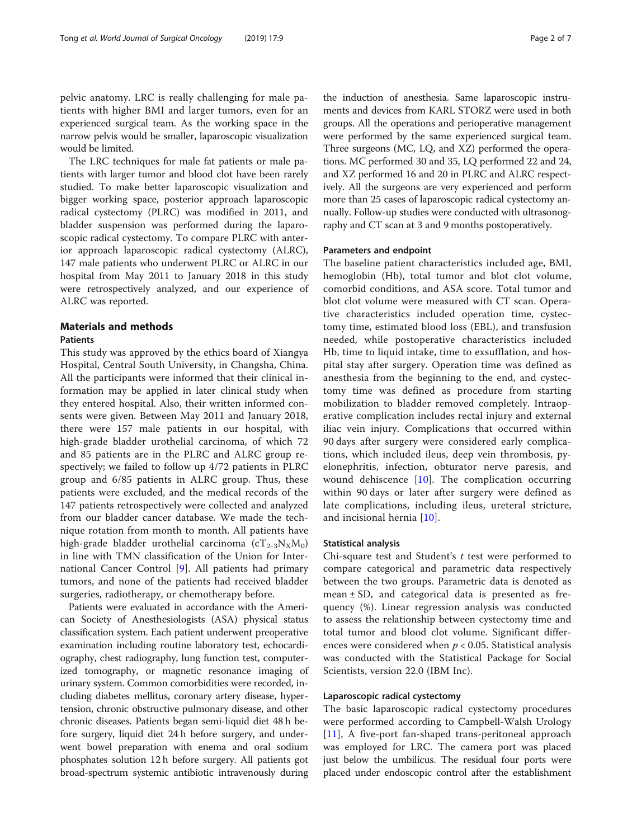pelvic anatomy. LRC is really challenging for male patients with higher BMI and larger tumors, even for an experienced surgical team. As the working space in the narrow pelvis would be smaller, laparoscopic visualization would be limited.

The LRC techniques for male fat patients or male patients with larger tumor and blood clot have been rarely studied. To make better laparoscopic visualization and bigger working space, posterior approach laparoscopic radical cystectomy (PLRC) was modified in 2011, and bladder suspension was performed during the laparoscopic radical cystectomy. To compare PLRC with anterior approach laparoscopic radical cystectomy (ALRC), 147 male patients who underwent PLRC or ALRC in our hospital from May 2011 to January 2018 in this study were retrospectively analyzed, and our experience of ALRC was reported.

## Materials and methods

## **Pationts**

This study was approved by the ethics board of Xiangya Hospital, Central South University, in Changsha, China. All the participants were informed that their clinical information may be applied in later clinical study when they entered hospital. Also, their written informed consents were given. Between May 2011 and January 2018, there were 157 male patients in our hospital, with high-grade bladder urothelial carcinoma, of which 72 and 85 patients are in the PLRC and ALRC group respectively; we failed to follow up 4/72 patients in PLRC group and 6/85 patients in ALRC group. Thus, these patients were excluded, and the medical records of the 147 patients retrospectively were collected and analyzed from our bladder cancer database. We made the technique rotation from month to month. All patients have high-grade bladder urothelial carcinoma ( $cT_{2-3}N_{X}M_{0}$ ) in line with TMN classification of the Union for International Cancer Control [[9](#page-5-0)]. All patients had primary tumors, and none of the patients had received bladder surgeries, radiotherapy, or chemotherapy before.

Patients were evaluated in accordance with the American Society of Anesthesiologists (ASA) physical status classification system. Each patient underwent preoperative examination including routine laboratory test, echocardiography, chest radiography, lung function test, computerized tomography, or magnetic resonance imaging of urinary system. Common comorbidities were recorded, including diabetes mellitus, coronary artery disease, hypertension, chronic obstructive pulmonary disease, and other chronic diseases. Patients began semi-liquid diet 48 h before surgery, liquid diet 24 h before surgery, and underwent bowel preparation with enema and oral sodium phosphates solution 12 h before surgery. All patients got broad-spectrum systemic antibiotic intravenously during

the induction of anesthesia. Same laparoscopic instruments and devices from KARL STORZ were used in both groups. All the operations and perioperative management were performed by the same experienced surgical team. Three surgeons (MC, LQ, and XZ) performed the operations. MC performed 30 and 35, LQ performed 22 and 24, and XZ performed 16 and 20 in PLRC and ALRC respectively. All the surgeons are very experienced and perform more than 25 cases of laparoscopic radical cystectomy annually. Follow-up studies were conducted with ultrasonography and CT scan at 3 and 9 months postoperatively.

## Parameters and endpoint

The baseline patient characteristics included age, BMI, hemoglobin (Hb), total tumor and blot clot volume, comorbid conditions, and ASA score. Total tumor and blot clot volume were measured with CT scan. Operative characteristics included operation time, cystectomy time, estimated blood loss (EBL), and transfusion needed, while postoperative characteristics included Hb, time to liquid intake, time to exsufflation, and hospital stay after surgery. Operation time was defined as anesthesia from the beginning to the end, and cystectomy time was defined as procedure from starting mobilization to bladder removed completely. Intraoperative complication includes rectal injury and external iliac vein injury. Complications that occurred within 90 days after surgery were considered early complications, which included ileus, deep vein thrombosis, pyelonephritis, infection, obturator nerve paresis, and wound dehiscence [[10\]](#page-5-0). The complication occurring within 90 days or later after surgery were defined as late complications, including ileus, ureteral stricture, and incisional hernia [\[10](#page-5-0)].

## Statistical analysis

Chi-square test and Student's  $t$  test were performed to compare categorical and parametric data respectively between the two groups. Parametric data is denoted as mean  $\pm$  SD, and categorical data is presented as frequency (%). Linear regression analysis was conducted to assess the relationship between cystectomy time and total tumor and blood clot volume. Significant differences were considered when  $p < 0.05$ . Statistical analysis was conducted with the Statistical Package for Social Scientists, version 22.0 (IBM Inc).

## Laparoscopic radical cystectomy

The basic laparoscopic radical cystectomy procedures were performed according to Campbell-Walsh Urology [[11\]](#page-5-0), A five-port fan-shaped trans-peritoneal approach was employed for LRC. The camera port was placed just below the umbilicus. The residual four ports were placed under endoscopic control after the establishment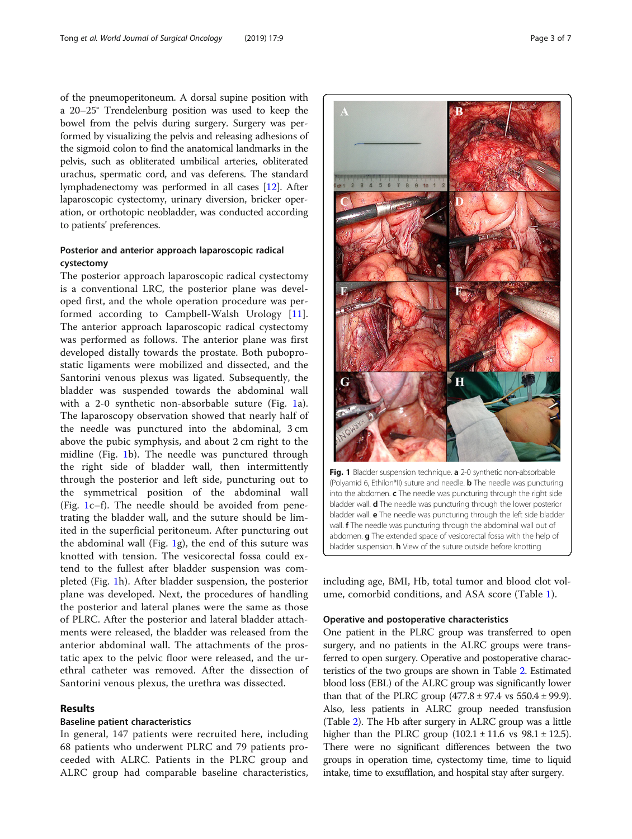<span id="page-2-0"></span>of the pneumoperitoneum. A dorsal supine position with a 20–25° Trendelenburg position was used to keep the bowel from the pelvis during surgery. Surgery was performed by visualizing the pelvis and releasing adhesions of the sigmoid colon to find the anatomical landmarks in the pelvis, such as obliterated umbilical arteries, obliterated urachus, spermatic cord, and vas deferens. The standard lymphadenectomy was performed in all cases [\[12\]](#page-5-0). After laparoscopic cystectomy, urinary diversion, bricker operation, or orthotopic neobladder, was conducted according to patients' preferences.

# Posterior and anterior approach laparoscopic radical cystectomy

The posterior approach laparoscopic radical cystectomy is a conventional LRC, the posterior plane was developed first, and the whole operation procedure was performed according to Campbell-Walsh Urology [\[11](#page-5-0)]. The anterior approach laparoscopic radical cystectomy was performed as follows. The anterior plane was first developed distally towards the prostate. Both puboprostatic ligaments were mobilized and dissected, and the Santorini venous plexus was ligated. Subsequently, the bladder was suspended towards the abdominal wall with a 2-0 synthetic non-absorbable suture (Fig. 1a). The laparoscopy observation showed that nearly half of the needle was punctured into the abdominal, 3 cm above the pubic symphysis, and about 2 cm right to the midline (Fig. 1b). The needle was punctured through the right side of bladder wall, then intermittently through the posterior and left side, puncturing out to the symmetrical position of the abdominal wall (Fig. 1c–f). The needle should be avoided from penetrating the bladder wall, and the suture should be limited in the superficial peritoneum. After puncturing out the abdominal wall (Fig. 1g), the end of this suture was knotted with tension. The vesicorectal fossa could extend to the fullest after bladder suspension was completed (Fig. 1h). After bladder suspension, the posterior plane was developed. Next, the procedures of handling the posterior and lateral planes were the same as those of PLRC. After the posterior and lateral bladder attachments were released, the bladder was released from the anterior abdominal wall. The attachments of the prostatic apex to the pelvic floor were released, and the urethral catheter was removed. After the dissection of Santorini venous plexus, the urethra was dissected.

## Results

## Baseline patient characteristics

In general, 147 patients were recruited here, including 68 patients who underwent PLRC and 79 patients proceeded with ALRC. Patients in the PLRC group and ALRC group had comparable baseline characteristics,



bladder wall. **e** The needle was puncturing through the left side bladder wall. **f** The needle was puncturing through the abdominal wall out of abdomen. g The extended space of vesicorectal fossa with the help of bladder suspension. h View of the suture outside before knotting

including age, BMI, Hb, total tumor and blood clot volume, comorbid conditions, and ASA score (Table [1\)](#page-3-0).

# Operative and postoperative characteristics

One patient in the PLRC group was transferred to open surgery, and no patients in the ALRC groups were transferred to open surgery. Operative and postoperative characteristics of the two groups are shown in Table [2.](#page-3-0) Estimated blood loss (EBL) of the ALRC group was significantly lower than that of the PLRC group  $(477.8 \pm 97.4 \text{ vs } 550.4 \pm 99.9)$ . Also, less patients in ALRC group needed transfusion (Table [2\)](#page-3-0). The Hb after surgery in ALRC group was a little higher than the PLRC group  $(102.1 \pm 11.6 \text{ vs } 98.1 \pm 12.5)$ . There were no significant differences between the two groups in operation time, cystectomy time, time to liquid intake, time to exsufflation, and hospital stay after surgery.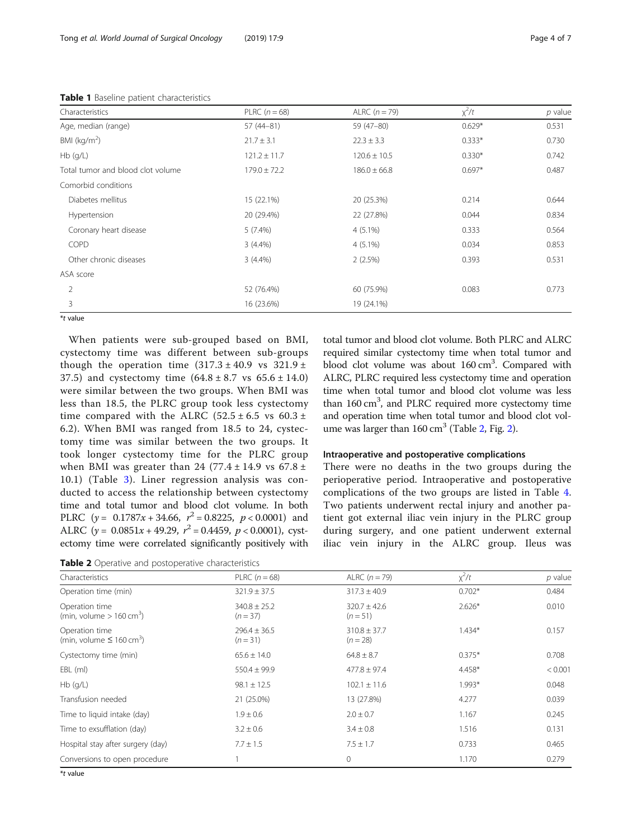<span id="page-3-0"></span>Table 1 Baseline patient characteristics

| Characteristics                   | PLRC $(n = 68)$  | ALRC $(n = 79)$  | $x^2/t$  | $p$ value |
|-----------------------------------|------------------|------------------|----------|-----------|
| Age, median (range)               | 57 (44-81)       | 59 (47-80)       | $0.629*$ | 0.531     |
| BMI ( $kg/m2$ )                   | $21.7 \pm 3.1$   | $22.3 \pm 3.3$   | $0.333*$ | 0.730     |
| $Hb$ (g/L)                        | $121.2 \pm 11.7$ | $120.6 \pm 10.5$ | $0.330*$ | 0.742     |
| Total tumor and blood clot volume | $179.0 \pm 72.2$ | $186.0 \pm 66.8$ | $0.697*$ | 0.487     |
| Comorbid conditions               |                  |                  |          |           |
| Diabetes mellitus                 | 15 (22.1%)       | 20 (25.3%)       | 0.214    | 0.644     |
| Hypertension                      | 20 (29.4%)       | 22 (27.8%)       | 0.044    | 0.834     |
| Coronary heart disease            | $5(7.4\%)$       | $4(5.1\%)$       | 0.333    | 0.564     |
| COPD                              | $3(4.4\%)$       | $4(5.1\%)$       | 0.034    | 0.853     |
| Other chronic diseases            | $3(4.4\%)$       | 2(2.5%)          | 0.393    | 0.531     |
| ASA score                         |                  |                  |          |           |
| 2                                 | 52 (76.4%)       | 60 (75.9%)       | 0.083    | 0.773     |
| 3                                 | 16 (23.6%)       | 19 (24.1%)       |          |           |

\*t value

When patients were sub-grouped based on BMI, cystectomy time was different between sub-groups though the operation time  $(317.3 \pm 40.9 \text{ vs } 321.9 \pm \text{)}$ 37.5) and cystectomy time  $(64.8 \pm 8.7 \text{ vs } 65.6 \pm 14.0)$ were similar between the two groups. When BMI was less than 18.5, the PLRC group took less cystectomy time compared with the ALRC  $(52.5 \pm 6.5 \text{ vs } 60.3 \pm 1)$ 6.2). When BMI was ranged from 18.5 to 24, cystectomy time was similar between the two groups. It took longer cystectomy time for the PLRC group when BMI was greater than 24 (77.4  $\pm$  14.9 vs 67.8  $\pm$ 10.1) (Table [3\)](#page-4-0). Liner regression analysis was conducted to access the relationship between cystectomy time and total tumor and blood clot volume. In both PLRC  $(y = 0.1787x + 34.66, r^2 = 0.8225, p < 0.0001)$  and ALRC  $(y = 0.0851x + 49.29, r^2 = 0.4459, p < 0.0001$ , cystectomy time were correlated significantly positively with

| <b>Table 2</b> Operative and postoperative characteristics |  |  |
|------------------------------------------------------------|--|--|
|------------------------------------------------------------|--|--|

total tumor and blood clot volume. Both PLRC and ALRC required similar cystectomy time when total tumor and blood clot volume was about 160 cm<sup>3</sup>. Compared with ALRC, PLRC required less cystectomy time and operation time when total tumor and blood clot volume was less than 160 cm<sup>3</sup>, and PLRC required more cystectomy time and operation time when total tumor and blood clot volume was larger than  $160 \text{ cm}^3$  (Table 2, Fig. [2\)](#page-4-0).

## Intraoperative and postoperative complications

There were no deaths in the two groups during the perioperative period. Intraoperative and postoperative complications of the two groups are listed in Table [4](#page-4-0). Two patients underwent rectal injury and another patient got external iliac vein injury in the PLRC group during surgery, and one patient underwent external iliac vein injury in the ALRC group. Ileus was

| Characteristics                                             | PLRC $(n = 68)$                | ALRC $(n = 79)$                | $x^2/t$  | p value |
|-------------------------------------------------------------|--------------------------------|--------------------------------|----------|---------|
| Operation time (min)                                        | $321.9 \pm 37.5$               | $317.3 \pm 40.9$               | $0.702*$ | 0.484   |
| Operation time<br>(min, volume $> 160$ cm <sup>3</sup> )    | $340.8 \pm 25.2$<br>$(n = 37)$ | $320.7 \pm 42.6$<br>$(n=51)$   | $2.626*$ | 0.010   |
| Operation time<br>(min, volume $\leq 160$ cm <sup>3</sup> ) | $296.4 \pm 36.5$<br>$(n=31)$   | $310.8 \pm 37.7$<br>$(n = 28)$ | $1.434*$ | 0.157   |
| Cystectomy time (min)                                       | $65.6 \pm 14.0$                | $64.8 \pm 8.7$                 | $0.375*$ | 0.708   |
| EBL (ml)                                                    | $550.4 \pm 99.9$               | $477.8 \pm 97.4$               | 4.458*   | < 0.001 |
| $Hb$ (g/L)                                                  | $98.1 \pm 12.5$                | $102.1 \pm 11.6$               | 1.993*   | 0.048   |
| Transfusion needed                                          | 21 (25.0%)                     | 13 (27.8%)                     | 4.277    | 0.039   |
| Time to liquid intake (day)                                 | $1.9 \pm 0.6$                  | $2.0 \pm 0.7$                  | 1.167    | 0.245   |
| Time to exsufflation (day)                                  | $3.2 \pm 0.6$                  | $3.4 \pm 0.8$                  | 1.516    | 0.131   |
| Hospital stay after surgery (day)                           | $7.7 \pm 1.5$                  | $7.5 \pm 1.7$                  | 0.733    | 0.465   |
| Conversions to open procedure                               |                                | $\mathbf 0$                    | 1.170    | 0.279   |

\*t value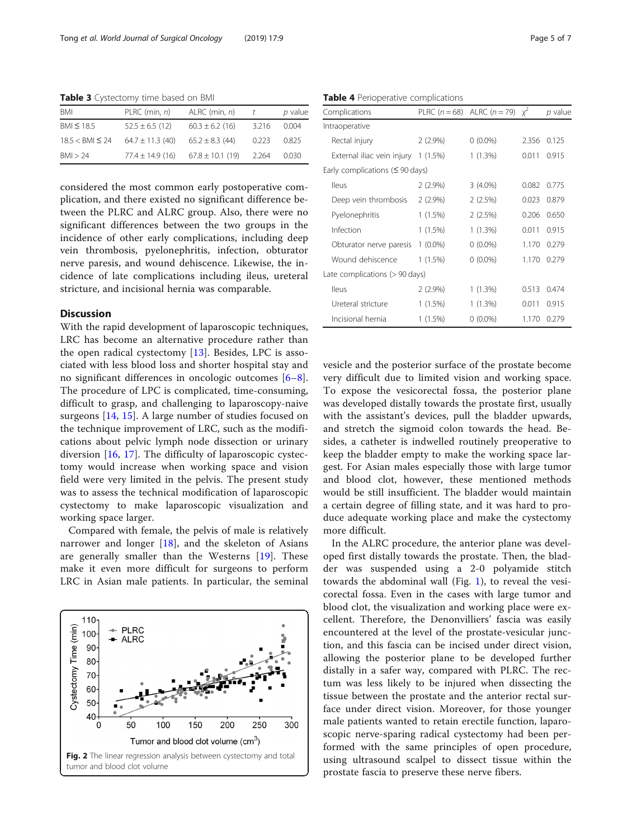<span id="page-4-0"></span>Table 3 Cystectomy time based on BMI

| <b>BMI</b>             | $PLRC$ (min, $n$ )   | ALRC $(min, n)$      | T      | p value |
|------------------------|----------------------|----------------------|--------|---------|
| BMI $\leq$ 18.5        | $52.5 \pm 6.5$ (12)  | $60.3 \pm 6.2$ (16)  | 3.216  | 0.004   |
| $18.5 <$ BMI $\leq 24$ | $64.7 \pm 11.3$ (40) | $65.2 \pm 8.3$ (44)  | 0.223  | 0.825   |
| BM > 24                | $77.4 \pm 14.9(16)$  | $67.8 \pm 10.1$ (19) | -2.264 | 0.030   |

considered the most common early postoperative complication, and there existed no significant difference between the PLRC and ALRC group. Also, there were no significant differences between the two groups in the incidence of other early complications, including deep vein thrombosis, pyelonephritis, infection, obturator nerve paresis, and wound dehiscence. Likewise, the incidence of late complications including ileus, ureteral stricture, and incisional hernia was comparable.

# **Discussion**

With the rapid development of laparoscopic techniques, LRC has become an alternative procedure rather than the open radical cystectomy [\[13](#page-5-0)]. Besides, LPC is associated with less blood loss and shorter hospital stay and no significant differences in oncologic outcomes [[6](#page-5-0)–[8](#page-5-0)]. The procedure of LPC is complicated, time-consuming, difficult to grasp, and challenging to laparoscopy-naive surgeons [[14,](#page-5-0) [15](#page-5-0)]. A large number of studies focused on the technique improvement of LRC, such as the modifications about pelvic lymph node dissection or urinary diversion [\[16](#page-6-0), [17\]](#page-6-0). The difficulty of laparoscopic cystectomy would increase when working space and vision field were very limited in the pelvis. The present study was to assess the technical modification of laparoscopic cystectomy to make laparoscopic visualization and working space larger.

Compared with female, the pelvis of male is relatively narrower and longer [\[18\]](#page-6-0), and the skeleton of Asians are generally smaller than the Westerns [[19\]](#page-6-0). These make it even more difficult for surgeons to perform LRC in Asian male patients. In particular, the seminal

#### 110 **PLRC** Cystectomy Time (min) 100 ALRC 90 80 70 60 50  $40 -$ 100 150 200 250 300  $\Omega$ 50 Tumor and blood clot volume  $\text{(cm}^3\text{)}$ Fig. 2 The linear regression analysis between cystectomy and total tumor and blood clot volume

Table 4 Perioperative complications

| Complications                         |            | PLRC ( $n = 68$ ) ALRC ( $n = 79$ ) $\chi^2$ |       | p value |
|---------------------------------------|------------|----------------------------------------------|-------|---------|
| Intraoperative                        |            |                                              |       |         |
| Rectal injury                         | $2(2.9\%)$ | $0(0.0\%)$                                   | 2.356 | 0.125   |
| External iliac vein injury            | $1(1.5\%)$ | $1(1.3\%)$                                   | 0.011 | 0.915   |
| Early complications ( $\leq$ 90 days) |            |                                              |       |         |
| lleus                                 | $2(2.9\%)$ | $3(4.0\%)$                                   | 0.082 | 0.775   |
| Deep vein thrombosis                  | $2(2.9\%)$ | 2(2.5%)                                      | 0.023 | 0.879   |
| Pyelonephritis                        | 1(1.5%)    | 2(2.5%)                                      | 0.206 | 0.650   |
| Infection                             | 1(1.5%)    | $1(1.3\%)$                                   | 0.011 | 0.915   |
| Obturator nerve paresis               | $1(0.0\%)$ | $0(0.0\%)$                                   | 1.170 | 0.279   |
| Wound dehiscence                      | 1(1.5%)    | $0(0.0\%)$                                   | 1.170 | 0.279   |
| Late complications (> 90 days)        |            |                                              |       |         |
| lleus                                 | $2(2.9\%)$ | $1(1.3\%)$                                   | 0.513 | 0.474   |
| Ureteral stricture                    | $1(1.5\%)$ | 1(1.3%)                                      | 0.011 | 0.915   |
| Incisional hernia                     | $1(1.5\%)$ | $0(0.0\%)$                                   | 1.170 | 0.279   |

vesicle and the posterior surface of the prostate become very difficult due to limited vision and working space. To expose the vesicorectal fossa, the posterior plane was developed distally towards the prostate first, usually with the assistant's devices, pull the bladder upwards, and stretch the sigmoid colon towards the head. Besides, a catheter is indwelled routinely preoperative to keep the bladder empty to make the working space largest. For Asian males especially those with large tumor and blood clot, however, these mentioned methods would be still insufficient. The bladder would maintain a certain degree of filling state, and it was hard to produce adequate working place and make the cystectomy more difficult.

In the ALRC procedure, the anterior plane was developed first distally towards the prostate. Then, the bladder was suspended using a 2-0 polyamide stitch towards the abdominal wall (Fig. [1\)](#page-2-0), to reveal the vesicorectal fossa. Even in the cases with large tumor and blood clot, the visualization and working place were excellent. Therefore, the Denonvilliers' fascia was easily encountered at the level of the prostate-vesicular junction, and this fascia can be incised under direct vision, allowing the posterior plane to be developed further distally in a safer way, compared with PLRC. The rectum was less likely to be injured when dissecting the tissue between the prostate and the anterior rectal surface under direct vision. Moreover, for those younger male patients wanted to retain erectile function, laparoscopic nerve-sparing radical cystectomy had been performed with the same principles of open procedure, using ultrasound scalpel to dissect tissue within the prostate fascia to preserve these nerve fibers.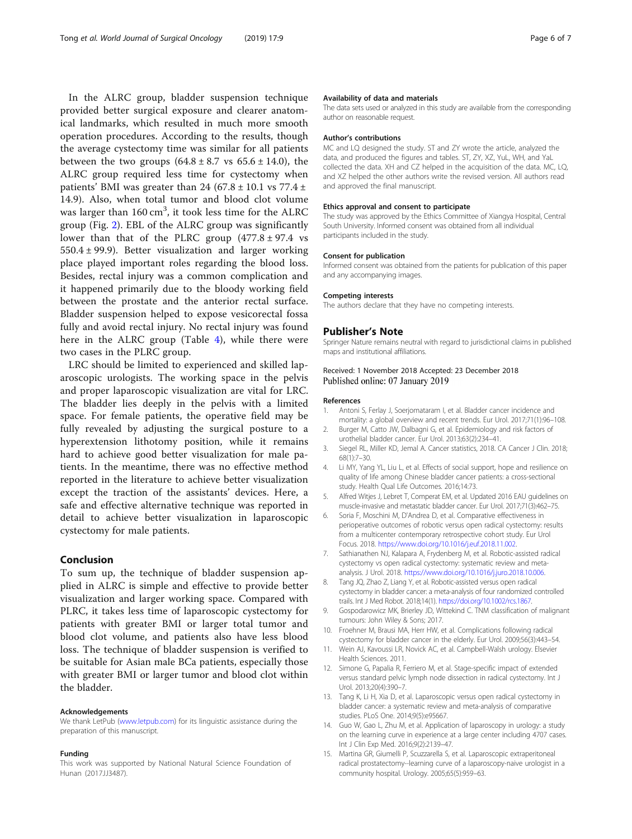<span id="page-5-0"></span>In the ALRC group, bladder suspension technique provided better surgical exposure and clearer anatomical landmarks, which resulted in much more smooth operation procedures. According to the results, though the average cystectomy time was similar for all patients between the two groups  $(64.8 \pm 8.7 \text{ vs } 65.6 \pm 14.0)$ , the ALRC group required less time for cystectomy when patients' BMI was greater than 24 (67.8  $\pm$  10.1 vs 77.4  $\pm$ 14.9). Also, when total tumor and blood clot volume was larger than  $160 \text{ cm}^3$ , it took less time for the ALRC group (Fig. [2](#page-4-0)). EBL of the ALRC group was significantly lower than that of the PLRC group  $(477.8 \pm 97.4 \text{ vs }$  $550.4 \pm 99.9$ . Better visualization and larger working place played important roles regarding the blood loss. Besides, rectal injury was a common complication and it happened primarily due to the bloody working field between the prostate and the anterior rectal surface. Bladder suspension helped to expose vesicorectal fossa fully and avoid rectal injury. No rectal injury was found here in the ALRC group (Table [4](#page-4-0)), while there were two cases in the PLRC group.

LRC should be limited to experienced and skilled laparoscopic urologists. The working space in the pelvis and proper laparoscopic visualization are vital for LRC. The bladder lies deeply in the pelvis with a limited space. For female patients, the operative field may be fully revealed by adjusting the surgical posture to a hyperextension lithotomy position, while it remains hard to achieve good better visualization for male patients. In the meantime, there was no effective method reported in the literature to achieve better visualization except the traction of the assistants' devices. Here, a safe and effective alternative technique was reported in detail to achieve better visualization in laparoscopic cystectomy for male patients.

# Conclusion

To sum up, the technique of bladder suspension applied in ALRC is simple and effective to provide better visualization and larger working space. Compared with PLRC, it takes less time of laparoscopic cystectomy for patients with greater BMI or larger total tumor and blood clot volume, and patients also have less blood loss. The technique of bladder suspension is verified to be suitable for Asian male BCa patients, especially those with greater BMI or larger tumor and blood clot within the bladder.

#### Acknowledgements

We thank LetPub ([www.letpub.com](http://www.letpub.com)) for its linguistic assistance during the preparation of this manuscript.

#### Funding

This work was supported by National Natural Science Foundation of Hunan (2017JJ3487).

#### Availability of data and materials

The data sets used or analyzed in this study are available from the corresponding author on reasonable request.

#### Author's contributions

MC and LQ designed the study. ST and ZY wrote the article, analyzed the data, and produced the figures and tables. ST, ZY, XZ, YuL, WH, and YaL collected the data. XH and CZ helped in the acquisition of the data. MC, LQ, and XZ helped the other authors write the revised version. All authors read and approved the final manuscript.

#### Ethics approval and consent to participate

The study was approved by the Ethics Committee of Xiangya Hospital, Central South University. Informed consent was obtained from all individual participants included in the study.

#### Consent for publication

Informed consent was obtained from the patients for publication of this paper and any accompanying images.

#### Competing interests

The authors declare that they have no competing interests.

#### Publisher's Note

Springer Nature remains neutral with regard to jurisdictional claims in published maps and institutional affiliations.

## Received: 1 November 2018 Accepted: 23 December 2018 Published online: 07 January 2019

#### References

- Antoni S, Ferlay J, Soerjomataram I, et al. Bladder cancer incidence and mortality: a global overview and recent trends. Eur Urol. 2017;71(1):96–108.
- 2. Burger M, Catto JW, Dalbagni G, et al. Epidemiology and risk factors of urothelial bladder cancer. Eur Urol. 2013;63(2):234–41.
- 3. Siegel RL, Miller KD, Jemal A. Cancer statistics, 2018. CA Cancer J Clin. 2018; 68(1):7–30.
- 4. Li MY, Yang YL, Liu L, et al. Effects of social support, hope and resilience on quality of life among Chinese bladder cancer patients: a cross-sectional study. Health Qual Life Outcomes. 2016;14:73.
- 5. Alfred Witjes J, Lebret T, Comperat EM, et al. Updated 2016 EAU guidelines on muscle-invasive and metastatic bladder cancer. Eur Urol. 2017;71(3):462–75.
- 6. Soria F, Moschini M, D'Andrea D, et al. Comparative effectiveness in perioperative outcomes of robotic versus open radical cystectomy: results from a multicenter contemporary retrospective cohort study. Eur Urol Focus. 2018. <https://www.doi.org/10.1016/j.euf.2018.11.002>.
- 7. Sathianathen NJ, Kalapara A, Frydenberg M, et al. Robotic-assisted radical cystectomy vs open radical cystectomy: systematic review and metaanalysis. J Urol. 2018. [https://www.doi.org/10.1016/j.juro.2018.10.006.](https://www.doi.org/10.1016/j.juro.2018.10.006)
- 8. Tang JQ, Zhao Z, Liang Y, et al. Robotic-assisted versus open radical cystectomy in bladder cancer: a meta-analysis of four randomized controlled trails. Int J Med Robot. 2018;14(1). [https://doi.org/10.1002/rcs.1867.](https://doi.org/10.1002/rcs.1867)
- 9. Gospodarowicz MK, Brierley JD, Wittekind C. TNM classification of malignant tumours: John Wiley & Sons; 2017.
- 10. Froehner M, Brausi MA, Herr HW, et al. Complications following radical cystectomy for bladder cancer in the elderly. Eur Urol. 2009;56(3):443–54.
- 11. Wein AJ, Kavoussi LR, Novick AC, et al. Campbell-Walsh urology. Elsevier Health Sciences. 2011.
- 12. Simone G, Papalia R, Ferriero M, et al. Stage-specific impact of extended versus standard pelvic lymph node dissection in radical cystectomy. Int J Urol. 2013;20(4):390–7.
- 13. Tang K, Li H, Xia D, et al. Laparoscopic versus open radical cystectomy in bladder cancer: a systematic review and meta-analysis of comparative studies. PLoS One. 2014;9(5):e95667.
- 14. Guo W, Gao L, Zhu M, et al. Application of laparoscopy in urology: a study on the learning curve in experience at a large center including 4707 cases. Int J Clin Exp Med. 2016;9(2):2139–47.
- 15. Martina GR, Giumelli P, Scuzzarella S, et al. Laparoscopic extraperitoneal radical prostatectomy--learning curve of a laparoscopy-naive urologist in a community hospital. Urology. 2005;65(5):959–63.